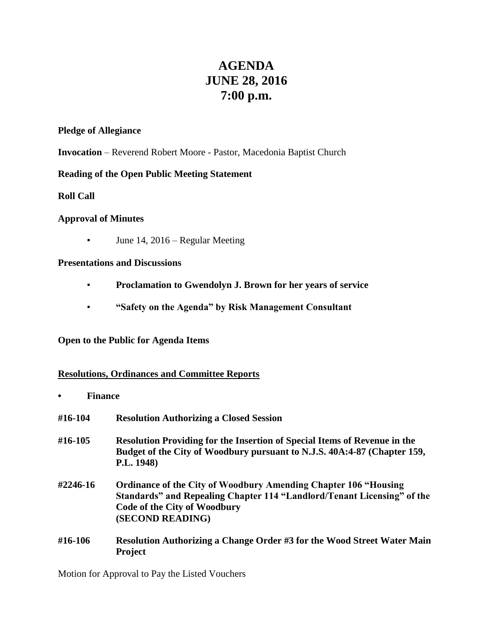# **AGENDA JUNE 28, 2016 7:00 p.m.**

## **Pledge of Allegiance**

**Invocation** – Reverend Robert Moore - Pastor, Macedonia Baptist Church

# **Reading of the Open Public Meeting Statement**

**Roll Call**

## **Approval of Minutes**

**•** June 14, 2016 – Regular Meeting

## **Presentations and Discussions**

- **Proclamation to Gwendolyn J. Brown for her years of service**
- **"Safety on the Agenda" by Risk Management Consultant**

# **Open to the Public for Agenda Items**

# **Resolutions, Ordinances and Committee Reports**

**• Finance #16-104 Resolution Authorizing a Closed Session #16-105 Resolution Providing for the Insertion of Special Items of Revenue in the Budget of the City of Woodbury pursuant to N.J.S. 40A:4-87 (Chapter 159, P.L. 1948) #2246-16 Ordinance of the City of Woodbury Amending Chapter 106 "Housing Standards" and Repealing Chapter 114 "Landlord/Tenant Licensing" of the Code of the City of Woodbury (SECOND READING) #16-106 Resolution Authorizing a Change Order #3 for the Wood Street Water Main Project**

Motion for Approval to Pay the Listed Vouchers